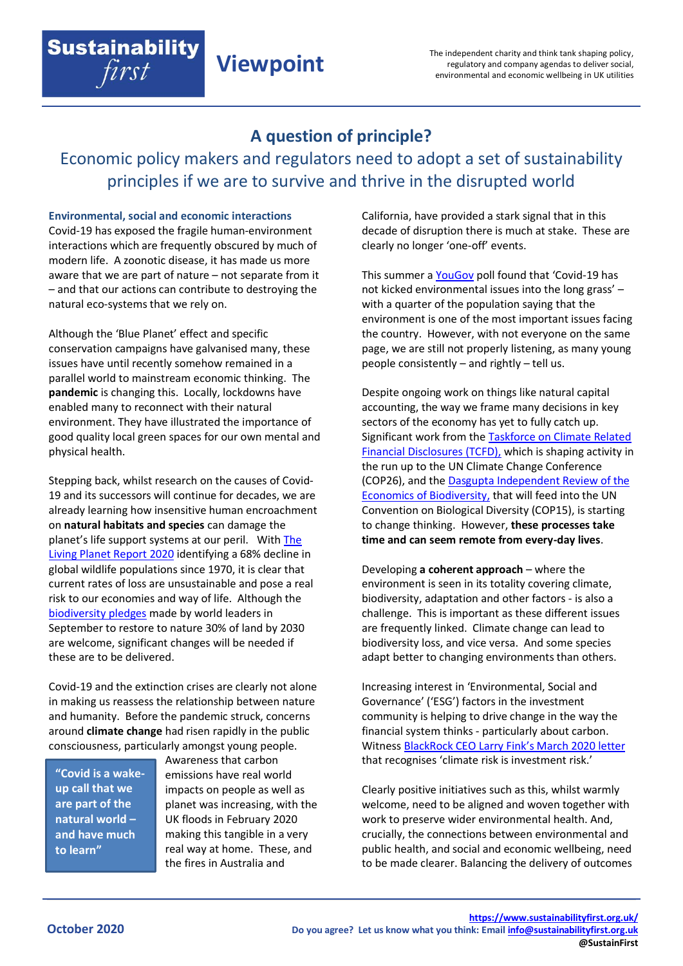## **A question of principle?**

**Viewpoint**

Economic policy makers and regulators need to adopt a set of sustainability principles if we are to survive and thrive in the disrupted world

## **Environmental, social and economic interactions**

**Sustainability** 

first

Covid-19 has exposed the fragile human-environment interactions which are frequently obscured by much of modern life. A zoonotic disease, it has made us more aware that we are part of nature – not separate from it – and that our actions can contribute to destroying the natural eco-systems that we rely on.

Although the 'Blue Planet' effect and specific conservation campaigns have galvanised many, these issues have until recently somehow remained in a parallel world to mainstream economic thinking. The **pandemic** is changing this. Locally, lockdowns have enabled many to reconnect with their natural environment. They have illustrated the importance of good quality local green spaces for our own mental and physical health.

Stepping back, whilst research on the causes of Covid-19 and its successors will continue for decades, we are already learning how insensitive human encroachment on **natural habitats and species** can damage the planet's life support systems at our peril. With [The](https://www.zsl.org/sites/default/files/LPR%202020%20Full%20report.pdf)  [Living Planet Report 2020](https://www.zsl.org/sites/default/files/LPR%202020%20Full%20report.pdf) identifying a 68% decline in global wildlife populations since 1970, it is clear that current rates of loss are unsustainable and pose a real risk to our economies and way of life. Although the [biodiversity pledges](https://www.gov.uk/government/news/pm-commits-to-protect-30-of-uk-land-in-boost-for-biodiversity) made by world leaders in September to restore to nature 30% of land by 2030 are welcome, significant changes will be needed if these are to be delivered.

Covid-19 and the extinction crises are clearly not alone in making us reassess the relationship between nature and humanity. Before the pandemic struck, concerns around **climate change** had risen rapidly in the public consciousness, particularly amongst young people.

**"Covid is a wakeup call that we are part of the natural world – and have much to learn"**

Awareness that carbon emissions have real world impacts on people as well as planet was increasing, with the UK floods in February 2020 making this tangible in a very real way at home. These, and the fires in Australia and

California, have provided a stark signal that in this decade of disruption there is much at stake. These are clearly no longer 'one-off' events.

This summer a [YouGov](https://yougov.co.uk/topics/politics/articles-reports/2020/07/07/covid-19-environmental-issues) poll found that 'Covid-19 has not kicked environmental issues into the long grass' – with a quarter of the population saying that the environment is one of the most important issues facing the country. However, with not everyone on the same page, we are still not properly listening, as many young people consistently – and rightly – tell us.

Despite ongoing work on things like natural capital accounting, the way we frame many decisions in key sectors of the economy has yet to fully catch up. Significant work from th[e Taskforce on Climate Related](https://www.fsb-tcfd.org/)  [Financial Disclosures \(TCFD\),](https://www.fsb-tcfd.org/) which is shaping activity in the run up to the UN Climate Change Conference (COP26), and th[e Dasgupta Independent Review of the](https://assets.publishing.service.gov.uk/government/uploads/system/uploads/attachment_data/file/882222/The_Economics_of_Biodiversity_The_Dasgupta_Review_Interim_Report.pdf)  [Economics of Biodiversity,](https://assets.publishing.service.gov.uk/government/uploads/system/uploads/attachment_data/file/882222/The_Economics_of_Biodiversity_The_Dasgupta_Review_Interim_Report.pdf) that will feed into the UN Convention on Biological Diversity (COP15), is starting to change thinking. However, **these processes take time and can seem remote from every-day lives**.

Developing **a coherent approach** – where the environment is seen in its totality covering climate, biodiversity, adaptation and other factors - is also a challenge. This is important as these different issues are frequently linked. Climate change can lead to biodiversity loss, and vice versa. And some species adapt better to changing environments than others.

Increasing interest in 'Environmental, Social and Governance' ('ESG') factors in the investment community is helping to drive change in the way the financial system thinks - particularly about carbon. Witness [BlackRock CEO Larry Fink's March 2020 letter](https://www.blackrock.com/corporate/investor-relations/larry-fink-ceo-letter) that recognises 'climate risk is investment risk.'

Clearly positive initiatives such as this, whilst warmly welcome, need to be aligned and woven together with work to preserve wider environmental health. And, crucially, the connections between environmental and public health, and social and economic wellbeing, need to be made clearer. Balancing the delivery of outcomes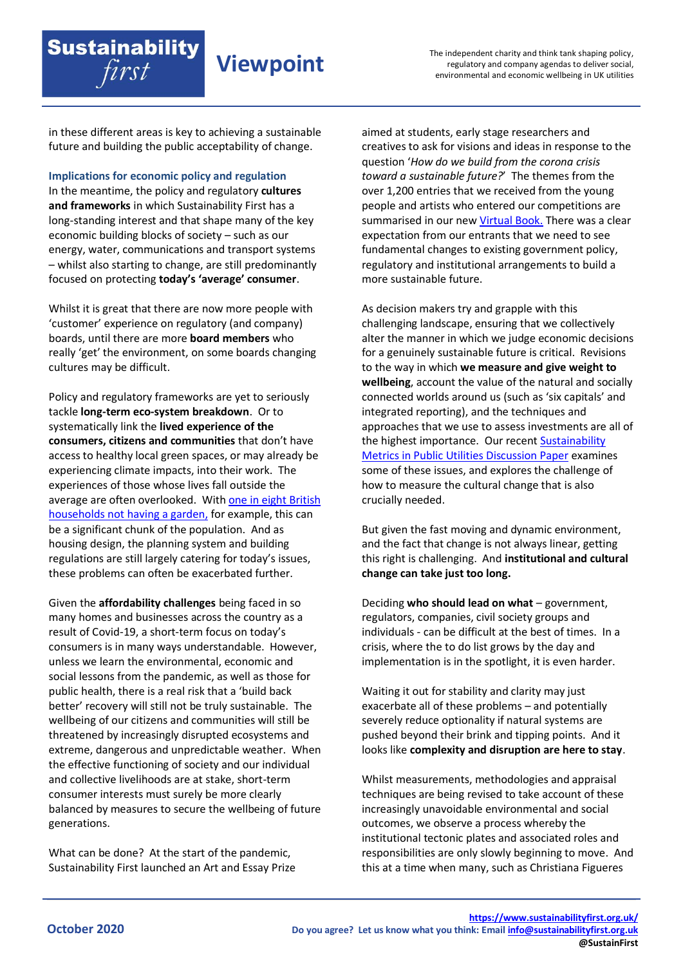in these different areas is key to achieving a sustainable future and building the public acceptability of change.

**Sustainability** 

first

**Viewpoint**

**Implications for economic policy and regulation** In the meantime, the policy and regulatory **cultures and frameworks** in which Sustainability First has a long-standing interest and that shape many of the key economic building blocks of society – such as our energy, water, communications and transport systems – whilst also starting to change, are still predominantly focused on protecting **today's 'average' consumer**.

Whilst it is great that there are now more people with 'customer' experience on regulatory (and company) boards, until there are more **board members** who really 'get' the environment, on some boards changing cultures may be difficult.

Policy and regulatory frameworks are yet to seriously tackle **long-term eco-system breakdown**. Or to systematically link the **lived experience of the consumers, citizens and communities** that don't have access to healthy local green spaces, or may already be experiencing climate impacts, into their work. The experiences of those whose lives fall outside the average are often overlooked. Wit[h one in eight British](https://www.ons.gov.uk/economy/environmentalaccounts/articles/oneineightbritishhouseholdshasnogarden/2020-05-14)  [households not having a garden,](https://www.ons.gov.uk/economy/environmentalaccounts/articles/oneineightbritishhouseholdshasnogarden/2020-05-14) for example, this can be a significant chunk of the population. And as housing design, the planning system and building regulations are still largely catering for today's issues, these problems can often be exacerbated further.

Given the **affordability challenges** being faced in so many homes and businesses across the country as a result of Covid-19, a short-term focus on today's consumers is in many ways understandable. However, unless we learn the environmental, economic and social lessons from the pandemic, as well as those for public health, there is a real risk that a 'build back better' recovery will still not be truly sustainable. The wellbeing of our citizens and communities will still be threatened by increasingly disrupted ecosystems and extreme, dangerous and unpredictable weather. When the effective functioning of society and our individual and collective livelihoods are at stake, short-term consumer interests must surely be more clearly balanced by measures to secure the wellbeing of future generations.

What can be done? At the start of the pandemic, Sustainability First launched an Art and Essay Prize aimed at students, early stage researchers and creatives to ask for visions and ideas in response to the question '*How do we build from the corona crisis toward a sustainable future?*' The themes from the over 1,200 entries that we received from the young people and artists who entered our competitions are summarised in our new [Virtual Book.](https://www.sustainabilityfirst.org.uk/bridging-corona/virtual-book) There was a clear expectation from our entrants that we need to see fundamental changes to existing government policy, regulatory and institutional arrangements to build a more sustainable future.

As decision makers try and grapple with this challenging landscape, ensuring that we collectively alter the manner in which we judge economic decisions for a genuinely sustainable future is critical. Revisions to the way in which **we measure and give weight to wellbeing**, account the value of the natural and socially connected worlds around us (such as 'six capitals' and integrated reporting), and the techniques and approaches that we use to assess investments are all of the highest importance.Our recen[t Sustainability](https://www.sustainabilityfirst.org.uk/images/publications/fair_for_the_future/25191_Sustainability_First_sustainability_metrics_report_v9.pdf)  [Metrics in Public Utilities Discussion Paper](https://www.sustainabilityfirst.org.uk/images/publications/fair_for_the_future/25191_Sustainability_First_sustainability_metrics_report_v9.pdf) examines some of these issues, and explores the challenge of how to measure the cultural change that is also crucially needed.

But given the fast moving and dynamic environment, and the fact that change is not always linear, getting this right is challenging. And **institutional and cultural change can take just too long.**

Deciding **who should lead on what** – government, regulators, companies, civil society groups and individuals - can be difficult at the best of times. In a crisis, where the to do list grows by the day and implementation is in the spotlight, it is even harder.

Waiting it out for stability and clarity may just exacerbate all of these problems – and potentially severely reduce optionality if natural systems are pushed beyond their brink and tipping points. And it looks like **complexity and disruption are here to stay**.

Whilst measurements, methodologies and appraisal techniques are being revised to take account of these increasingly unavoidable environmental and social outcomes, we observe a process whereby the institutional tectonic plates and associated roles and responsibilities are only slowly beginning to move. And this at a time when many, such as Christiana Figueres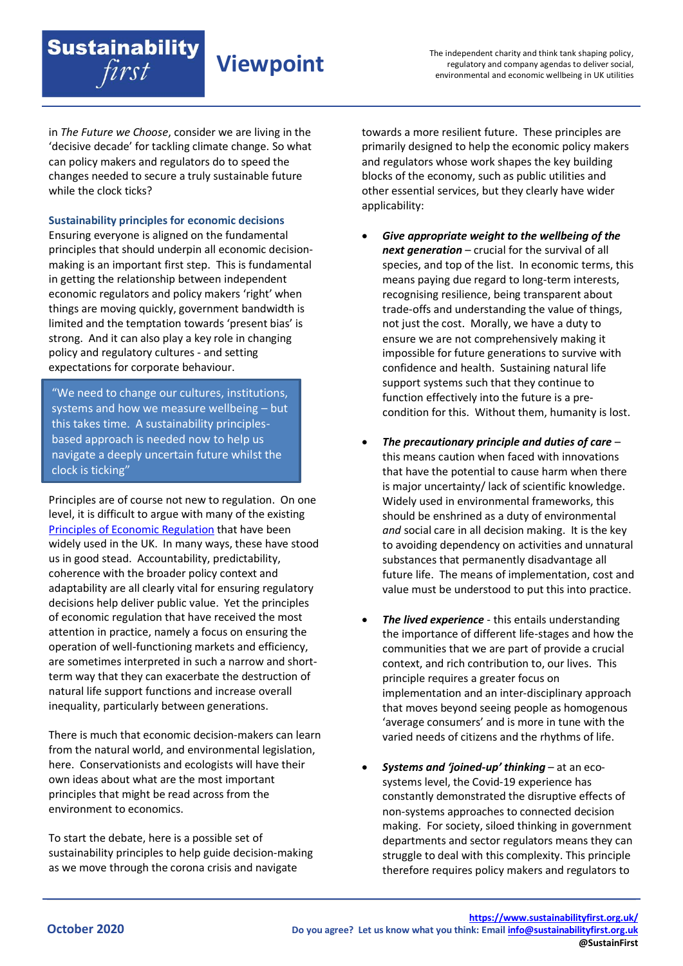in *The Future we Choose*, consider we are living in the 'decisive decade' for tackling climate change. So what can policy makers and regulators do to speed the changes needed to secure a truly sustainable future while the clock ticks?

**Viewpoint**

**Sustainability principles for economic decisions**

**Sustainability** 

first

Ensuring everyone is aligned on the fundamental principles that should underpin all economic decisionmaking is an important first step. This is fundamental in getting the relationship between independent economic regulators and policy makers 'right' when things are moving quickly, government bandwidth is limited and the temptation towards 'present bias' is strong. And it can also play a key role in changing policy and regulatory cultures - and setting expectations for corporate behaviour.

"We need to change our cultures, institutions, systems and how we measure wellbeing – but this takes time. A sustainability principlesbased approach is needed now to help us navigate a deeply uncertain future whilst the clock is ticking"

Principles are of course not new to regulation. On one level, it is difficult to argue with many of the existing [Principles of Economic Regulation](https://assets.publishing.service.gov.uk/government/uploads/system/uploads/attachment_data/file/31623/11-795-principles-for-economic-regulation.pdf) that have been widely used in the UK. In many ways, these have stood us in good stead. Accountability, predictability, coherence with the broader policy context and adaptability are all clearly vital for ensuring regulatory decisions help deliver public value. Yet the principles of economic regulation that have received the most attention in practice, namely a focus on ensuring the operation of well-functioning markets and efficiency, are sometimes interpreted in such a narrow and shortterm way that they can exacerbate the destruction of natural life support functions and increase overall inequality, particularly between generations.

There is much that economic decision-makers can learn from the natural world, and environmental legislation, here. Conservationists and ecologists will have their own ideas about what are the most important principles that might be read across from the environment to economics.

To start the debate, here is a possible set of sustainability principles to help guide decision-making as we move through the corona crisis and navigate

towards a more resilient future. These principles are primarily designed to help the economic policy makers and regulators whose work shapes the key building blocks of the economy, such as public utilities and other essential services, but they clearly have wider applicability:

- *Give appropriate weight to the wellbeing of the next generation* – crucial for the survival of all species, and top of the list. In economic terms, this means paying due regard to long-term interests, recognising resilience, being transparent about trade-offs and understanding the value of things, not just the cost. Morally, we have a duty to ensure we are not comprehensively making it impossible for future generations to survive with confidence and health. Sustaining natural life support systems such that they continue to function effectively into the future is a precondition for this. Without them, humanity is lost.
- *The precautionary principle and duties of care* this means caution when faced with innovations that have the potential to cause harm when there is major uncertainty/ lack of scientific knowledge. Widely used in environmental frameworks, this should be enshrined as a duty of environmental *and* social care in all decision making. It is the key to avoiding dependency on activities and unnatural substances that permanently disadvantage all future life. The means of implementation, cost and value must be understood to put this into practice.
- *The lived experience* this entails understanding the importance of different life-stages and how the communities that we are part of provide a crucial context, and rich contribution to, our lives. This principle requires a greater focus on implementation and an inter-disciplinary approach that moves beyond seeing people as homogenous 'average consumers' and is more in tune with the varied needs of citizens and the rhythms of life.
- *Systems and 'joined-up' thinking* at an ecosystems level, the Covid-19 experience has constantly demonstrated the disruptive effects of non-systems approaches to connected decision making. For society, siloed thinking in government departments and sector regulators means they can struggle to deal with this complexity. This principle therefore requires policy makers and regulators to